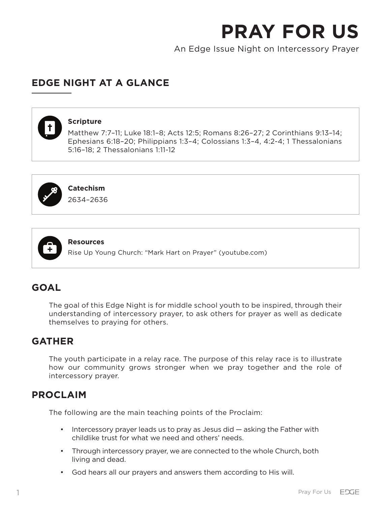An Edge Issue Night on Intercessory Prayer

# **EDGE NIGHT AT A GLANCE**

## **Scripture**

Matthew 7:7–11; Luke 18:1–8; Acts 12:5; Romans 8:26–27; 2 Corinthians 9:13–14; Ephesians 6:18–20; Philippians 1:3–4; Colossians 1:3–4, 4:2-4; 1 Thessalonians 5:16–18; 2 Thessalonians 1:11-12



**Catechism**

2634–2636



**Resources**

Rise Up Young Church: "Mark Hart on Prayer" (youtube.com)

# **GOAL**

The goal of this Edge Night is for middle school youth to be inspired, through their understanding of intercessory prayer, to ask others for prayer as well as dedicate themselves to praying for others.

## **GATHER**

The youth participate in a relay race. The purpose of this relay race is to illustrate how our community grows stronger when we pray together and the role of intercessory prayer.

## **PROCLAIM**

The following are the main teaching points of the Proclaim:

- Intercessory prayer leads us to pray as Jesus did asking the Father with childlike trust for what we need and others' needs.
- Through intercessory prayer, we are connected to the whole Church, both living and dead.
- God hears all our prayers and answers them according to His will.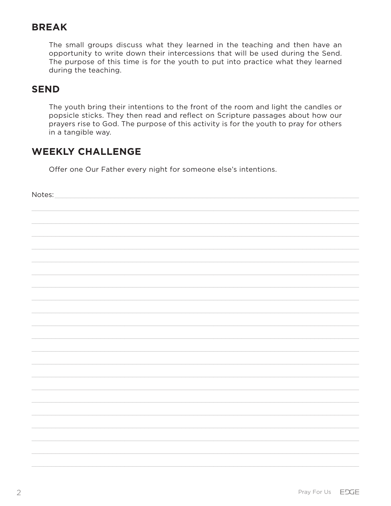# **BREAK**

The small groups discuss what they learned in the teaching and then have an opportunity to write down their intercessions that will be used during the Send. The purpose of this time is for the youth to put into practice what they learned during the teaching.

## **SEND**

Notes:

The youth bring their intentions to the front of the room and light the candles or popsicle sticks. They then read and reflect on Scripture passages about how our prayers rise to God. The purpose of this activity is for the youth to pray for others in a tangible way.

# **WEEKLY CHALLENGE**

Offer one Our Father every night for someone else's intentions.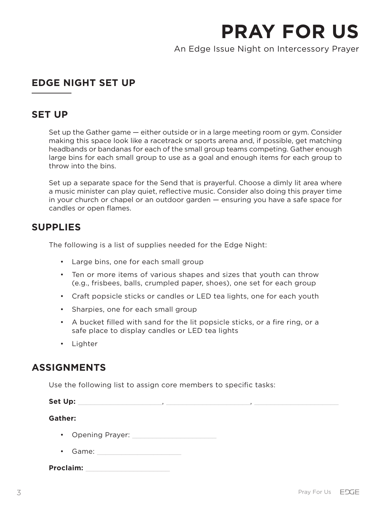An Edge Issue Night on Intercessory Prayer

# **EDGE NIGHT SET UP**

## **SET UP**

Set up the Gather game — either outside or in a large meeting room or gym. Consider making this space look like a racetrack or sports arena and, if possible, get matching headbands or bandanas for each of the small group teams competing. Gather enough large bins for each small group to use as a goal and enough items for each group to throw into the bins.

Set up a separate space for the Send that is prayerful. Choose a dimly lit area where a music minister can play quiet, reflective music. Consider also doing this prayer time in your church or chapel or an outdoor garden — ensuring you have a safe space for candles or open flames.

## **SUPPLIES**

The following is a list of supplies needed for the Edge Night:

- Large bins, one for each small group
- Ten or more items of various shapes and sizes that youth can throw (e.g., frisbees, balls, crumpled paper, shoes), one set for each group
- Craft popsicle sticks or candles or LED tea lights, one for each youth
- Sharpies, one for each small group
- A bucket filled with sand for the lit popsicle sticks, or a fire ring, or a safe place to display candles or LED tea lights
- Lighter

# **ASSIGNMENTS**

Use the following list to assign core members to specific tasks:

**Set Up:** \_\_\_\_\_\_\_\_\_\_\_\_\_\_\_\_\_\_\_\_\_, \_\_\_\_\_\_\_\_\_\_\_\_\_\_\_\_\_\_\_\_\_, \_\_\_\_\_\_\_\_\_\_\_\_\_\_\_\_\_\_\_\_\_

**Gather:**

- Opening Prayer: \_\_\_\_\_\_\_\_\_\_\_\_\_\_\_\_\_\_\_\_\_
- Game:

**Proclaim:** \_\_\_\_\_\_\_\_\_\_\_\_\_\_\_\_\_\_\_\_\_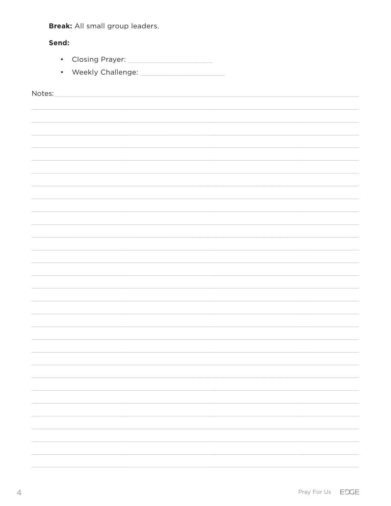Break: All small group leaders.

## Send:

- 
- 

Notes: Notes: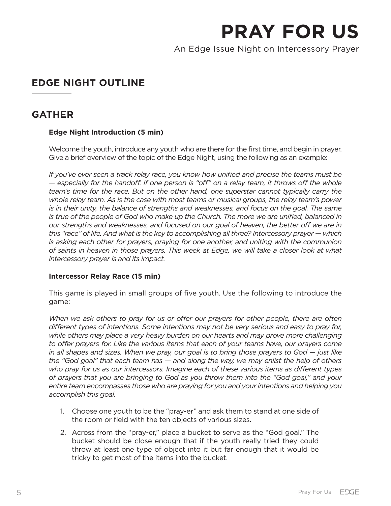An Edge Issue Night on Intercessory Prayer

# **EDGE NIGHT OUTLINE**

## **GATHER**

## **Edge Night Introduction (5 min)**

Welcome the youth, introduce any youth who are there for the first time, and begin in prayer. Give a brief overview of the topic of the Edge Night, using the following as an example:

*If you've ever seen a track relay race, you know how unified and precise the teams must be — especially for the handoff. If one person is "off" on a relay team, it throws off the whole team's time for the race. But on the other hand, one superstar cannot typically carry the whole relay team. As is the case with most teams or musical groups, the relay team's power is in their unity, the balance of strengths and weaknesses, and focus on the goal. The same is true of the people of God who make up the Church. The more we are unified, balanced in our strengths and weaknesses, and focused on our goal of heaven, the better off we are in this "race" of life. And what is the key to accomplishing all three? Intercessory prayer — which is asking each other for prayers, praying for one another, and uniting with the communion of saints in heaven in those prayers. This week at Edge, we will take a closer look at what intercessory prayer is and its impact.* 

#### **Intercessor Relay Race (15 min)**

This game is played in small groups of five youth. Use the following to introduce the game:

*When we ask others to pray for us or offer our prayers for other people, there are often different types of intentions. Some intentions may not be very serious and easy to pray for, while others may place a very heavy burden on our hearts and may prove more challenging*  to offer prayers for. Like the various items that each of your teams have, our prayers come *in all shapes and sizes. When we pray, our goal is to bring those prayers to God — just like the "God goal" that each team has — and along the way, we may enlist the help of others who pray for us as our intercessors. Imagine each of these various items as different types of prayers that you are bringing to God as you throw them into the "God goal," and your entire team encompasses those who are praying for you and your intentions and helping you accomplish this goal.* 

- 1. Choose one youth to be the "pray-er" and ask them to stand at one side of the room or field with the ten objects of various sizes.
- 2. Across from the "pray-er," place a bucket to serve as the "God goal." The bucket should be close enough that if the youth really tried they could throw at least one type of object into it but far enough that it would be tricky to get most of the items into the bucket.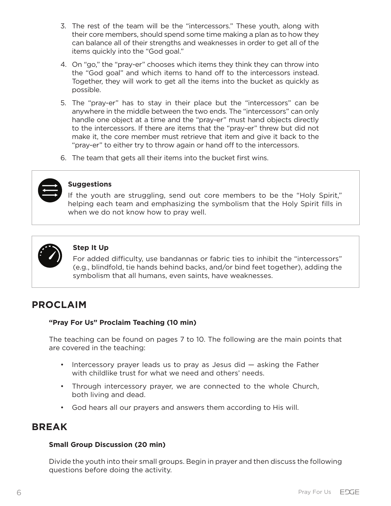- 3. The rest of the team will be the "intercessors." These youth, along with their core members, should spend some time making a plan as to how they can balance all of their strengths and weaknesses in order to get all of the items quickly into the "God goal."
- 4. On "go," the "pray-er" chooses which items they think they can throw into the "God goal" and which items to hand off to the intercessors instead. Together, they will work to get all the items into the bucket as quickly as possible.
- 5. The "pray-er" has to stay in their place but the "intercessors" can be anywhere in the middle between the two ends. The "intercessors" can only handle one object at a time and the "pray-er" must hand objects directly to the intercessors. If there are items that the "pray-er" threw but did not make it, the core member must retrieve that item and give it back to the "pray-er" to either try to throw again or hand off to the intercessors.
- 6. The team that gets all their items into the bucket first wins.



#### **Suggestions**

If the youth are struggling, send out core members to be the "Holy Spirit," helping each team and emphasizing the symbolism that the Holy Spirit fills in when we do not know how to pray well.



#### **Step It Up**

For added difficulty, use bandannas or fabric ties to inhibit the "intercessors" (e.g., blindfold, tie hands behind backs, and/or bind feet together), adding the symbolism that all humans, even saints, have weaknesses.

## **PROCLAIM**

#### **"Pray For Us" Proclaim Teaching (10 min)**

The teaching can be found on pages 7 to 10. The following are the main points that are covered in the teaching:

- Intercessory prayer leads us to pray as Jesus did asking the Father with childlike trust for what we need and others' needs.
- Through intercessory prayer, we are connected to the whole Church, both living and dead.
- God hears all our prayers and answers them according to His will.

## **BREAK**

#### **Small Group Discussion (20 min)**

Divide the youth into their small groups. Begin in prayer and then discuss the following questions before doing the activity.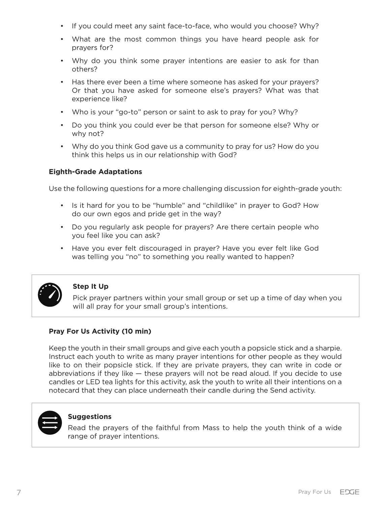- If you could meet any saint face-to-face, who would you choose? Why?
- What are the most common things you have heard people ask for prayers for?
- Why do you think some prayer intentions are easier to ask for than others?
- Has there ever been a time where someone has asked for your prayers? Or that you have asked for someone else's prayers? What was that experience like?
- Who is your "go-to" person or saint to ask to pray for you? Why?
- Do you think you could ever be that person for someone else? Why or why not?
- Why do you think God gave us a community to pray for us? How do you think this helps us in our relationship with God?

## **Eighth-Grade Adaptations**

Use the following questions for a more challenging discussion for eighth-grade youth:

- Is it hard for you to be "humble" and "childlike" in prayer to God? How do our own egos and pride get in the way?
- Do you regularly ask people for prayers? Are there certain people who you feel like you can ask?
- Have you ever felt discouraged in prayer? Have you ever felt like God was telling you "no" to something you really wanted to happen?



## **Step It Up**

Pick prayer partners within your small group or set up a time of day when you will all pray for your small group's intentions.

## **Pray For Us Activity (10 min)**

Keep the youth in their small groups and give each youth a popsicle stick and a sharpie. Instruct each youth to write as many prayer intentions for other people as they would like to on their popsicle stick. If they are private prayers, they can write in code or abbreviations if they like  $-$  these prayers will not be read aloud. If you decide to use candles or LED tea lights for this activity, ask the youth to write all their intentions on a notecard that they can place underneath their candle during the Send activity.



#### **Suggestions**

Read the prayers of the faithful from Mass to help the youth think of a wide range of prayer intentions.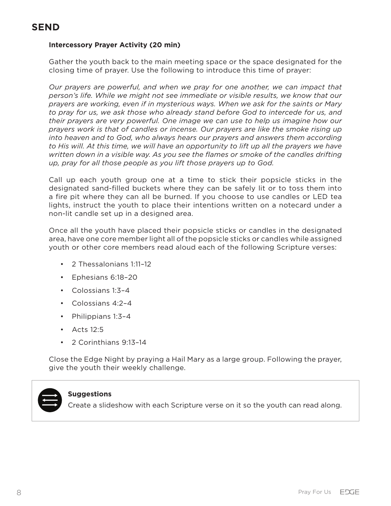### **Intercessory Prayer Activity (20 min)**

Gather the youth back to the main meeting space or the space designated for the closing time of prayer. Use the following to introduce this time of prayer:

*Our prayers are powerful, and when we pray for one another, we can impact that person's life. While we might not see immediate or visible results, we know that our prayers are working, even if in mysterious ways. When we ask for the saints or Mary to pray for us, we ask those who already stand before God to intercede for us, and their prayers are very powerful. One image we can use to help us imagine how our prayers work is that of candles or incense. Our prayers are like the smoke rising up into heaven and to God, who always hears our prayers and answers them according to His will. At this time, we will have an opportunity to lift up all the prayers we have written down in a visible way. As you see the flames or smoke of the candles drifting up, pray for all those people as you lift those prayers up to God.* 

Call up each youth group one at a time to stick their popsicle sticks in the designated sand-filled buckets where they can be safely lit or to toss them into a fire pit where they can all be burned. If you choose to use candles or LED tea lights, instruct the youth to place their intentions written on a notecard under a non-lit candle set up in a designed area.

Once all the youth have placed their popsicle sticks or candles in the designated area, have one core member light all of the popsicle sticks or candles while assigned youth or other core members read aloud each of the following Scripture verses:

- 2 Thessalonians 1:11–12
- Ephesians 6:18–20
- Colossians 1:3–4
- Colossians 4:2–4
- Philippians 1:3–4
- Acts 12:5
- 2 Corinthians 9:13–14

Close the Edge Night by praying a Hail Mary as a large group. Following the prayer, give the youth their weekly challenge.



#### **Suggestions**

Create a slideshow with each Scripture verse on it so the youth can read along.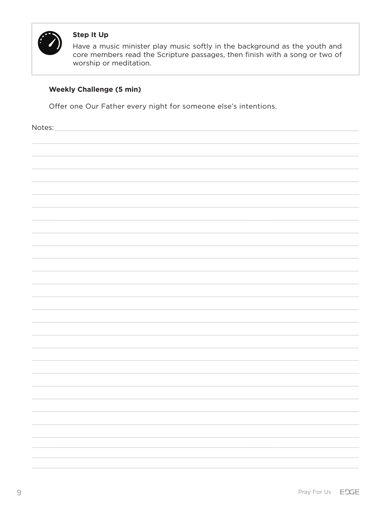

## **Step It Up**

Have a music minister play music softly in the background as the youth and core members read the Scripture passages, then finish with a song or two of worship or meditation.

## **Weekly Challenge (5 min)**

Offer one Our Father every night for someone else's intentions.

Notes:

| 110100 |  |  |  |
|--------|--|--|--|
|        |  |  |  |
|        |  |  |  |
|        |  |  |  |
|        |  |  |  |
|        |  |  |  |
|        |  |  |  |
|        |  |  |  |
|        |  |  |  |
|        |  |  |  |
|        |  |  |  |
|        |  |  |  |
|        |  |  |  |
|        |  |  |  |
|        |  |  |  |
|        |  |  |  |
|        |  |  |  |
|        |  |  |  |
|        |  |  |  |
|        |  |  |  |
|        |  |  |  |
|        |  |  |  |
|        |  |  |  |
|        |  |  |  |
|        |  |  |  |
|        |  |  |  |
|        |  |  |  |
|        |  |  |  |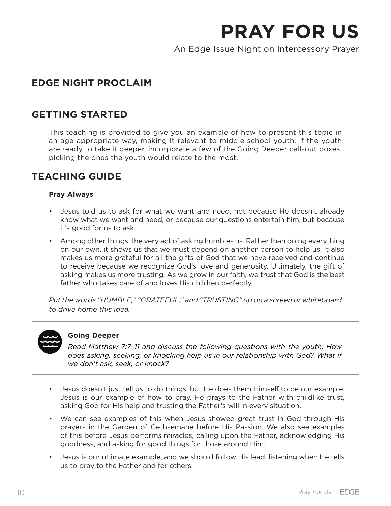An Edge Issue Night on Intercessory Prayer

# **EDGE NIGHT PROCLAIM**

## **GETTING STARTED**

This teaching is provided to give you an example of how to present this topic in an age-appropriate way, making it relevant to middle school youth. If the youth are ready to take it deeper, incorporate a few of the Going Deeper call-out boxes, picking the ones the youth would relate to the most.

# **TEACHING GUIDE**

#### **Pray Always**

- Jesus told us to ask for what we want and need, not because He doesn't already know what we want and need, or because our questions entertain him, but because it's good for us to ask.
- Among other things, the very act of asking humbles us. Rather than doing everything on our own, it shows us that we must depend on another person to help us. It also makes us more grateful for all the gifts of God that we have received and continue to receive because we recognize God's love and generosity. Ultimately, the gift of asking makes us more trusting. As we grow in our faith, we trust that God is the best father who takes care of and loves His children perfectly.

*Put the words "HUMBLE," "GRATEFUL," and "TRUSTING" up on a screen or whiteboard to drive home this idea.*



#### **Going Deeper**

*Read Matthew 7:7–11 and discuss the following questions with the youth. How does asking, seeking, or knocking help us in our relationship with God? What if we don't ask, seek, or knock?*

- Jesus doesn't just tell us to do things, but He does them Himself to be our example. Jesus is our example of how to pray. He prays to the Father with childlike trust, asking God for His help and trusting the Father's will in every situation.
- We can see examples of this when Jesus showed great trust in God through His prayers in the Garden of Gethsemane before His Passion. We also see examples of this before Jesus performs miracles, calling upon the Father, acknowledging His goodness, and asking for good things for those around Him.
- Jesus is our ultimate example, and we should follow His lead, listening when He tells us to pray to the Father and for others.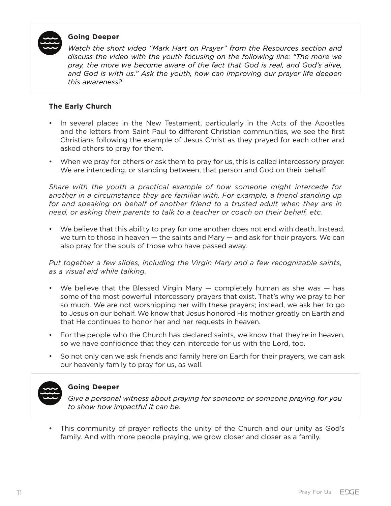

#### **Going Deeper**

*Watch the short video "Mark Hart on Prayer" from the Resources section and discuss the video with the youth focusing on the following line: "The more we pray, the more we become aware of the fact that God is real, and God's alive, and God is with us." Ask the youth, how can improving our prayer life deepen this awareness?*

#### **The Early Church**

- In several places in the New Testament, particularly in the Acts of the Apostles and the letters from Saint Paul to different Christian communities, we see the first Christians following the example of Jesus Christ as they prayed for each other and asked others to pray for them.
- When we pray for others or ask them to pray for us, this is called intercessory prayer. We are interceding, or standing between, that person and God on their behalf.

*Share with the youth a practical example of how someone might intercede for another in a circumstance they are familiar with. For example, a friend standing up*  for and speaking on behalf of another friend to a trusted adult when they are in *need, or asking their parents to talk to a teacher or coach on their behalf, etc.* 

• We believe that this ability to pray for one another does not end with death. Instead, we turn to those in heaven — the saints and Mary — and ask for their prayers. We can also pray for the souls of those who have passed away.

*Put together a few slides, including the Virgin Mary and a few recognizable saints, as a visual aid while talking.* 

- We believe that the Blessed Virgin Mary completely human as she was has some of the most powerful intercessory prayers that exist. That's why we pray to her so much. We are not worshipping her with these prayers; instead, we ask her to go to Jesus on our behalf. We know that Jesus honored His mother greatly on Earth and that He continues to honor her and her requests in heaven.
- For the people who the Church has declared saints, we know that they're in heaven, so we have confidence that they can intercede for us with the Lord, too.
- So not only can we ask friends and family here on Earth for their prayers, we can ask our heavenly family to pray for us, as well.



## **Going Deeper**

*Give a personal witness about praying for someone or someone praying for you to show how impactful it can be.*

• This community of prayer reflects the unity of the Church and our unity as God's family. And with more people praying, we grow closer and closer as a family.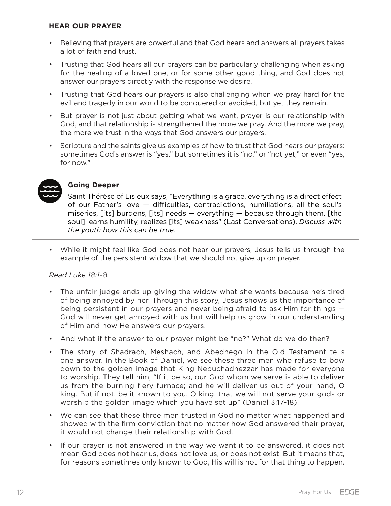#### **HEAR OUR PRAYER**

- Believing that prayers are powerful and that God hears and answers all prayers takes a lot of faith and trust.
- Trusting that God hears all our prayers can be particularly challenging when asking for the healing of a loved one, or for some other good thing, and God does not answer our prayers directly with the response we desire.
- Trusting that God hears our prayers is also challenging when we pray hard for the evil and tragedy in our world to be conquered or avoided, but yet they remain.
- But prayer is not just about getting what we want, prayer is our relationship with God, and that relationship is strengthened the more we pray. And the more we pray, the more we trust in the ways that God answers our prayers.
- Scripture and the saints give us examples of how to trust that God hears our prayers: sometimes God's answer is "yes," but sometimes it is "no," or "not yet," or even "yes, for now."



#### **Going Deeper**

Saint Thérèse of Lisieux says, "Everything is a grace, everything is a direct effect of our Father's love — difficulties, contradictions, humiliations, all the soul's miseries, [its] burdens, [its] needs — everything — because through them, [the soul] learns humility, realizes [its] weakness" (Last Conversations). *Discuss with the youth how this can be true.*

• While it might feel like God does not hear our prayers, Jesus tells us through the example of the persistent widow that we should not give up on prayer.

#### *Read Luke 18:1-8.*

- The unfair judge ends up giving the widow what she wants because he's tired of being annoyed by her. Through this story, Jesus shows us the importance of being persistent in our prayers and never being afraid to ask Him for things — God will never get annoyed with us but will help us grow in our understanding of Him and how He answers our prayers.
- And what if the answer to our prayer might be "no?" What do we do then?
- The story of Shadrach, Meshach, and Abednego in the Old Testament tells one answer. In the Book of Daniel, we see these three men who refuse to bow down to the golden image that King Nebuchadnezzar has made for everyone to worship. They tell him, "If it be so, our God whom we serve is able to deliver us from the burning fiery furnace; and he will deliver us out of your hand, O king. But if not, be it known to you, O king, that we will not serve your gods or worship the golden image which you have set up" (Daniel 3:17-18).
- We can see that these three men trusted in God no matter what happened and showed with the firm conviction that no matter how God answered their prayer, it would not change their relationship with God.
- If our prayer is not answered in the way we want it to be answered, it does not mean God does not hear us, does not love us, or does not exist. But it means that, for reasons sometimes only known to God, His will is not for that thing to happen.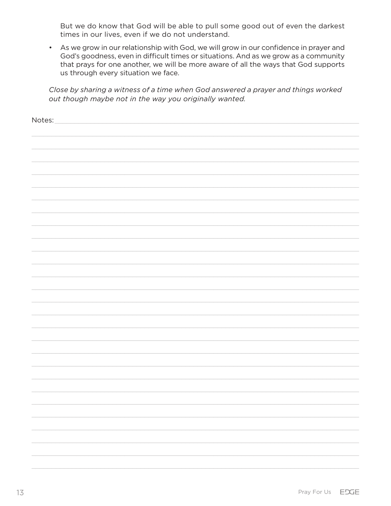But we do know that God will be able to pull some good out of even the darkest times in our lives, even if we do not understand.

• As we grow in our relationship with God, we will grow in our confidence in prayer and God's goodness, even in difficult times or situations. And as we grow as a community that prays for one another, we will be more aware of all the ways that God supports us through every situation we face.

Close by sharing a witness of a time when God answered a prayer and things worked out though maybe not in the way you originally wanted.

| Notes: |
|--------|
|        |
|        |
|        |
|        |
|        |
|        |
|        |
|        |
|        |
|        |
|        |
|        |
|        |
|        |
|        |
|        |
|        |
|        |
|        |
|        |
|        |
|        |
|        |
|        |
|        |
|        |
|        |
|        |
|        |
|        |
|        |
|        |
|        |
|        |